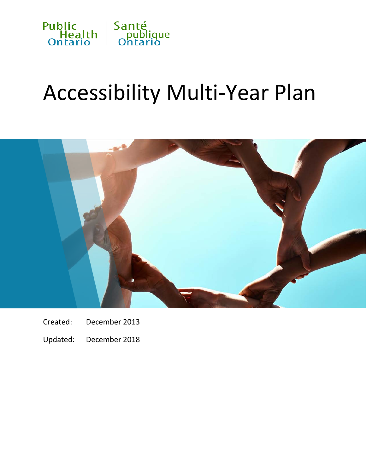

# Accessibility Multi-Year Plan



- Created: December 2013
- Updated: December 2018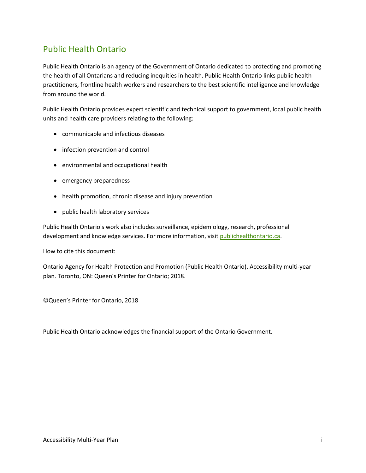### Public Health Ontario

Public Health Ontario is an agency of the Government of Ontario dedicated to protecting and promoting the health of all Ontarians and reducing inequities in health. Public Health Ontario links public health practitioners, frontline health workers and researchers to the best scientific intelligence and knowledge from around the world.

Public Health Ontario provides expert scientific and technical support to government, local public health units and health care providers relating to the following:

- communicable and infectious diseases
- infection prevention and control
- environmental and occupational health
- emergency preparedness
- health promotion, chronic disease and injury prevention
- public health laboratory services

Public Health Ontario's work also includes surveillance, epidemiology, research, professional development and knowledge services. For more information, visit publichealthontario.ca.

How to cite this document:

Ontario Agency for Health Protection and Promotion (Public Health Ontario). Accessibility multi-year plan. Toronto, ON: Queen's Printer for Ontario; 2018.

©Queen's Printer for Ontario, 2018

Public Health Ontario acknowledges the financial support of the Ontario Government.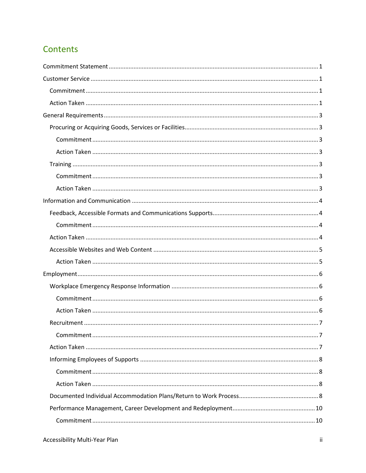## **Contents**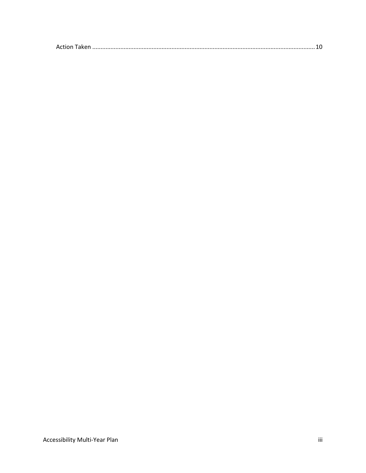| Action |  |
|--------|--|
|--------|--|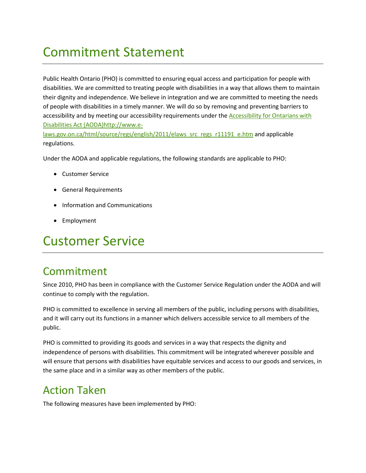## <span id="page-4-0"></span>Commitment Statement

Public Health Ontario (PHO) is committed to ensuring equal access and participation for people with disabilities. We are committed to treating people with disabilities in a way that allows them to maintain their dignity and independence. We believe in integration and we are committed to meeting the needs of people with disabilities in a timely manner. We will do so by removing and preventing barriers to accessibility and by meeting our accessibility requirements under the **Accessibility for Ontarians with** [Disabilities Act \(AODA\)http://www.e-](http://www.e-laws.gov.on.ca/html/source/regs/english/2011/elaws_src_regs_r11191_e.htm)

[laws.gov.on.ca/html/source/regs/english/2011/elaws\\_src\\_regs\\_r11191\\_e.htm](http://www.e-laws.gov.on.ca/html/source/regs/english/2011/elaws_src_regs_r11191_e.htm) and applicable regulations.

Under the AODA and applicable regulations, the following standards are applicable to PHO:

- Customer Service
- General Requirements
- Information and Communications
- Employment

## <span id="page-4-1"></span>Customer Service

## <span id="page-4-2"></span>Commitment

Since 2010, PHO has been in compliance with the Customer Service Regulation under the AODA and will continue to comply with the regulation.

PHO is committed to excellence in serving all members of the public, including persons with disabilities, and it will carry out its functions in a manner which delivers accessible service to all members of the public.

PHO is committed to providing its goods and services in a way that respects the dignity and independence of persons with disabilities. This commitment will be integrated wherever possible and will ensure that persons with disabilities have equitable services and access to our goods and services, in the same place and in a similar way as other members of the public.

## <span id="page-4-3"></span>Action Taken

The following measures have been implemented by PHO: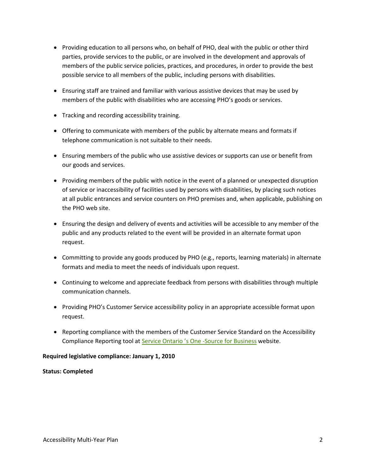- Providing education to all persons who, on behalf of PHO, deal with the public or other third parties, provide services to the public, or are involved in the development and approvals of members of the public service policies, practices, and procedures, in order to provide the best possible service to all members of the public, including persons with disabilities.
- Ensuring staff are trained and familiar with various assistive devices that may be used by members of the public with disabilities who are accessing PHO's goods or services.
- Tracking and recording accessibility training.
- Offering to communicate with members of the public by alternate means and formats if telephone communication is not suitable to their needs.
- Ensuring members of the public who use assistive devices or supports can use or benefit from our goods and services.
- Providing members of the public with notice in the event of a planned or unexpected disruption of service or inaccessibility of facilities used by persons with disabilities, by placing such notices at all public entrances and service counters on PHO premises and, when applicable, publishing on the PHO web site.
- Ensuring the design and delivery of events and activities will be accessible to any member of the public and any products related to the event will be provided in an alternate format upon request.
- Committing to provide any goods produced by PHO (e.g., reports, learning materials) in alternate formats and media to meet the needs of individuals upon request.
- Continuing to welcome and appreciate feedback from persons with disabilities through multiple communication channels.
- Providing PHO's Customer Service accessibility policy in an appropriate accessible format upon request.
- Reporting compliance with the members of the Customer Service Standard on the Accessibility Compliance Reporting tool at [Service Ontario 's One -Source for Business](https://www.appmybizaccount.gov.on.ca/sodp/portal/osb/!ut/p/b0/04_Sj9CPykssy0xPLMnMz0vMAfIjCxLTU3My87Kt8ouT9Aryi0oSc_QKSpNyMpP1MvJzU_ULsh0VAfzzwt0!/) website.

#### **Required legislative compliance: January 1, 2010**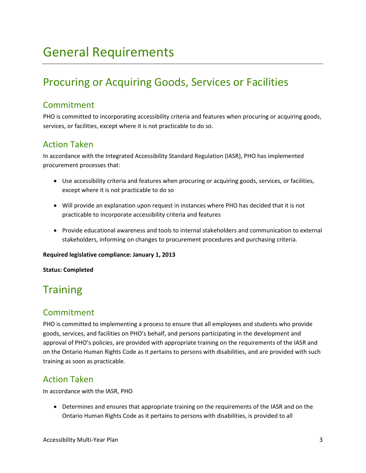## <span id="page-6-0"></span>General Requirements

## <span id="page-6-1"></span>Procuring or Acquiring Goods, Services or Facilities

### <span id="page-6-2"></span>Commitment

PHO is committed to incorporating accessibility criteria and features when procuring or acquiring goods, services, or facilities, except where it is not practicable to do so.

### <span id="page-6-3"></span>Action Taken

In accordance with the Integrated Accessibility Standard Regulation (IASR), PHO has implemented procurement processes that:

- Use accessibility criteria and features when procuring or acquiring goods, services, or facilities, except where it is not practicable to do so
- Will provide an explanation upon request in instances where PHO has decided that it is not practicable to incorporate accessibility criteria and features
- Provide educational awareness and tools to internal stakeholders and communication to external stakeholders, informing on changes to procurement procedures and purchasing criteria.

#### **Required legislative compliance: January 1, 2013**

#### **Status: Completed**

## <span id="page-6-4"></span>**Training**

### <span id="page-6-5"></span>Commitment

PHO is committed to implementing a process to ensure that all employees and students who provide goods, services, and facilities on PHO's behalf, and persons participating in the development and approval of PHO's policies, are provided with appropriate training on the requirements of the IASR and on the Ontario Human Rights Code as it pertains to persons with disabilities, and are provided with such training as soon as practicable.

### <span id="page-6-6"></span>Action Taken

In accordance with the IASR, PHO

• Determines and ensures that appropriate training on the requirements of the IASR and on the Ontario Human Rights Code as it pertains to persons with disabilities, is provided to all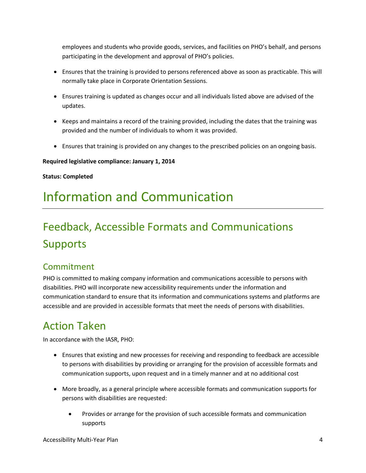employees and students who provide goods, services, and facilities on PHO's behalf, and persons participating in the development and approval of PHO's policies.

- Ensures that the training is provided to persons referenced above as soon as practicable. This will normally take place in Corporate Orientation Sessions.
- Ensures training is updated as changes occur and all individuals listed above are advised of the updates.
- Keeps and maintains a record of the training provided, including the dates that the training was provided and the number of individuals to whom it was provided.
- Ensures that training is provided on any changes to the prescribed policies on an ongoing basis.

#### **Required legislative compliance: January 1, 2014**

#### **Status: Completed**

## <span id="page-7-0"></span>Information and Communication

## <span id="page-7-1"></span>Feedback, Accessible Formats and Communications **Supports**

### <span id="page-7-2"></span>Commitment

PHO is committed to making company information and communications accessible to persons with disabilities. PHO will incorporate new accessibility requirements under the information and communication standard to ensure that its information and communications systems and platforms are accessible and are provided in accessible formats that meet the needs of persons with disabilities.

## <span id="page-7-3"></span>Action Taken

In accordance with the IASR, PHO:

- Ensures that existing and new processes for receiving and responding to feedback are accessible to persons with disabilities by providing or arranging for the provision of accessible formats and communication supports, upon request and in a timely manner and at no additional cost
- More broadly, as a general principle where accessible formats and communication supports for persons with disabilities are requested:
	- Provides or arrange for the provision of such accessible formats and communication supports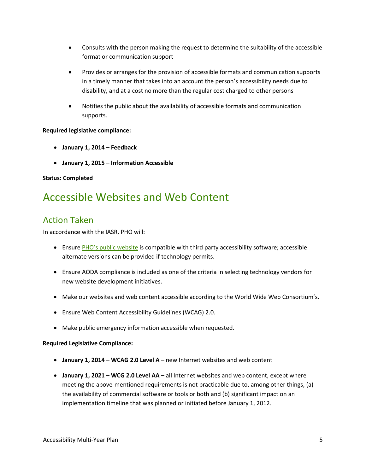- Consults with the person making the request to determine the suitability of the accessible format or communication support
- Provides or arranges for the provision of accessible formats and communication supports in a timely manner that takes into an account the person's accessibility needs due to disability, and at a cost no more than the regular cost charged to other persons
- Notifies the public about the availability of accessible formats and communication supports.

#### **Required legislative compliance:**

- **January 1, 2014 Feedback**
- **January 1, 2015 Information Accessible**

#### **Status: Completed**

## <span id="page-8-0"></span>Accessible Websites and Web Content

### <span id="page-8-1"></span>Action Taken

In accordance with the IASR, PHO will:

- Ensure [PHO's public website](http://www.publichealthontario.ca/) is compatible with third party accessibility software; accessible alternate versions can be provided if technology permits.
- Ensure AODA compliance is included as one of the criteria in selecting technology vendors for new website development initiatives.
- Make our websites and web content accessible according to the World Wide Web Consortium's.
- Ensure Web Content Accessibility Guidelines (WCAG) 2.0.
- Make public emergency information accessible when requested.

#### **Required Legislative Compliance:**

- **January 1, 2014 WCAG 2.0 Level A** new Internet websites and web content
- **January 1, 2021 WCG 2.0 Level AA** all Internet websites and web content, except where meeting the above-mentioned requirements is not practicable due to, among other things, (a) the availability of commercial software or tools or both and (b) significant impact on an implementation timeline that was planned or initiated before January 1, 2012.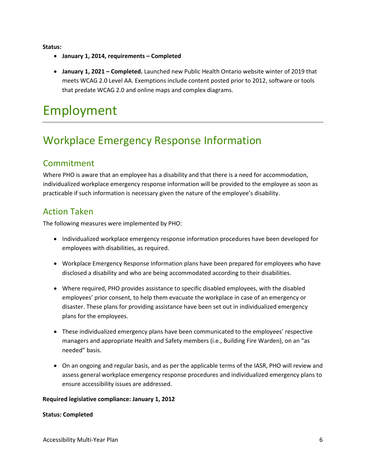**Status:** 

- **January 1, 2014, requirements Completed**
- **January 1, 2021 Completed.** Launched new Public Health Ontario website winter of 2019 that meets WCAG 2.0 Level AA. Exemptions include content posted prior to 2012, software or tools that predate WCAG 2.0 and online maps and complex diagrams.

## <span id="page-9-0"></span>Employment

## <span id="page-9-1"></span>Workplace Emergency Response Information

### <span id="page-9-2"></span>Commitment

Where PHO is aware that an employee has a disability and that there is a need for accommodation, individualized workplace emergency response information will be provided to the employee as soon as practicable if such information is necessary given the nature of the employee's disability.

### <span id="page-9-3"></span>Action Taken

The following measures were implemented by PHO:

- Individualized workplace emergency response information procedures have been developed for employees with disabilities, as required.
- Workplace Emergency Response Information plans have been prepared for employees who have disclosed a disability and who are being accommodated according to their disabilities.
- Where required, PHO provides assistance to specific disabled employees, with the disabled employees' prior consent, to help them evacuate the workplace in case of an emergency or disaster. These plans for providing assistance have been set out in individualized emergency plans for the employees.
- These individualized emergency plans have been communicated to the employees' respective managers and appropriate Health and Safety members (i.e., Building Fire Warden), on an "as needed" basis.
- On an ongoing and regular basis, and as per the applicable terms of the IASR, PHO will review and assess general workplace emergency response procedures and individualized emergency plans to ensure accessibility issues are addressed.

#### **Required legislative compliance: January 1, 2012**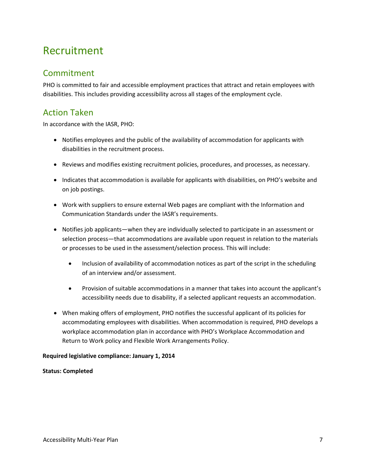## <span id="page-10-0"></span>Recruitment

### <span id="page-10-1"></span>Commitment

PHO is committed to fair and accessible employment practices that attract and retain employees with disabilities. This includes providing accessibility across all stages of the employment cycle.

### <span id="page-10-2"></span>Action Taken

In accordance with the IASR, PHO:

- Notifies employees and the public of the availability of accommodation for applicants with disabilities in the recruitment process.
- Reviews and modifies existing recruitment policies, procedures, and processes, as necessary.
- Indicates that accommodation is available for applicants with disabilities, on PHO's website and on job postings.
- Work with suppliers to ensure external Web pages are compliant with the Information and Communication Standards under the IASR's requirements.
- Notifies job applicants—when they are individually selected to participate in an assessment or selection process—that accommodations are available upon request in relation to the materials or processes to be used in the assessment/selection process. This will include:
	- Inclusion of availability of accommodation notices as part of the script in the scheduling of an interview and/or assessment.
	- Provision of suitable accommodations in a manner that takes into account the applicant's accessibility needs due to disability, if a selected applicant requests an accommodation.
- When making offers of employment, PHO notifies the successful applicant of its policies for accommodating employees with disabilities. When accommodation is required, PHO develops a workplace accommodation plan in accordance with PHO's Workplace Accommodation and Return to Work policy and Flexible Work Arrangements Policy.

#### **Required legislative compliance: January 1, 2014**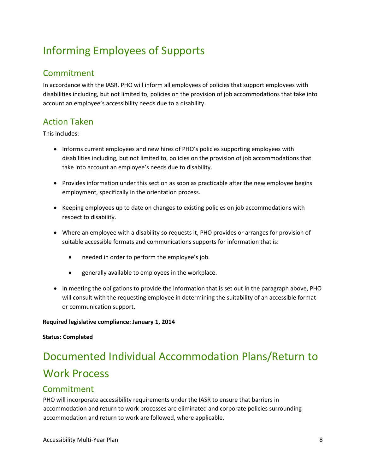## <span id="page-11-0"></span>Informing Employees of Supports

### <span id="page-11-1"></span>Commitment

In accordance with the IASR, PHO will inform all employees of policies that support employees with disabilities including, but not limited to, policies on the provision of job accommodations that take into account an employee's accessibility needs due to a disability.

## <span id="page-11-2"></span>Action Taken

This includes:

- Informs current employees and new hires of PHO's policies supporting employees with disabilities including, but not limited to, policies on the provision of job accommodations that take into account an employee's needs due to disability.
- Provides information under this section as soon as practicable after the new employee begins employment, specifically in the orientation process.
- Keeping employees up to date on changes to existing policies on job accommodations with respect to disability.
- Where an employee with a disability so requests it, PHO provides or arranges for provision of suitable accessible formats and communications supports for information that is:
	- needed in order to perform the employee's job.
	- generally available to employees in the workplace.
- In meeting the obligations to provide the information that is set out in the paragraph above, PHO will consult with the requesting employee in determining the suitability of an accessible format or communication support.

#### **Required legislative compliance: January 1, 2014**

#### **Status: Completed**

## <span id="page-11-3"></span>Documented Individual Accommodation Plans/Return to Work Process

### Commitment

PHO will incorporate accessibility requirements under the IASR to ensure that barriers in accommodation and return to work processes are eliminated and corporate policies surrounding accommodation and return to work are followed, where applicable.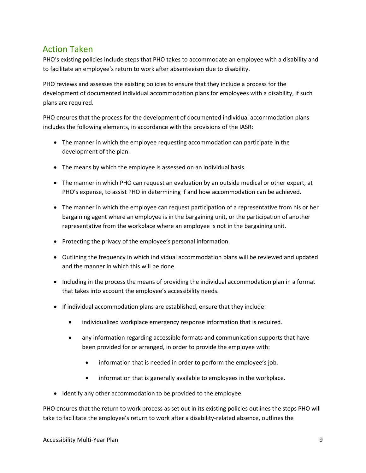### Action Taken

PHO's existing policies include steps that PHO takes to accommodate an employee with a disability and to facilitate an employee's return to work after absenteeism due to disability.

PHO reviews and assesses the existing policies to ensure that they include a process for the development of documented individual accommodation plans for employees with a disability, if such plans are required.

PHO ensures that the process for the development of documented individual accommodation plans includes the following elements, in accordance with the provisions of the IASR:

- The manner in which the employee requesting accommodation can participate in the development of the plan.
- The means by which the employee is assessed on an individual basis.
- The manner in which PHO can request an evaluation by an outside medical or other expert, at PHO's expense, to assist PHO in determining if and how accommodation can be achieved.
- The manner in which the employee can request participation of a representative from his or her bargaining agent where an employee is in the bargaining unit, or the participation of another representative from the workplace where an employee is not in the bargaining unit.
- Protecting the privacy of the employee's personal information.
- Outlining the frequency in which individual accommodation plans will be reviewed and updated and the manner in which this will be done.
- Including in the process the means of providing the individual accommodation plan in a format that takes into account the employee's accessibility needs.
- If individual accommodation plans are established, ensure that they include:
	- individualized workplace emergency response information that is required.
	- any information regarding accessible formats and communication supports that have been provided for or arranged, in order to provide the employee with:
		- information that is needed in order to perform the employee's job.
		- information that is generally available to employees in the workplace.
- Identify any other accommodation to be provided to the employee.

PHO ensures that the return to work process as set out in its existing policies outlines the steps PHO will take to facilitate the employee's return to work after a disability-related absence, outlines the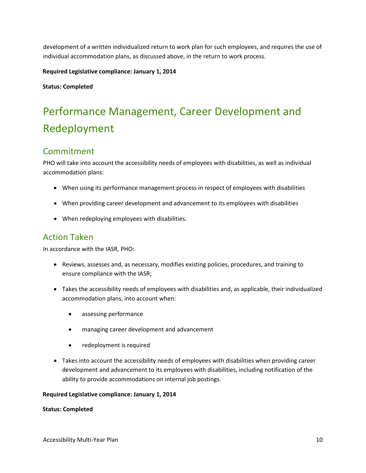development of a written individualized return to work plan for such employees, and requires the use of individual accommodation plans, as discussed above, in the return to work process.

**Required Legislative compliance: January 1, 2014** 

**Status: Completed** 

## <span id="page-13-0"></span>Performance Management, Career Development and Redeployment

### <span id="page-13-1"></span>Commitment

PHO will take into account the accessibility needs of employees with disabilities, as well as individual accommodation plans:

- When using its performance management process in respect of employees with disabilities
- When providing career development and advancement to its employees with disabilities
- When redeploying employees with disabilities.

### <span id="page-13-2"></span>Action Taken

In accordance with the IASR, PHO:

- Reviews, assesses and, as necessary, modifies existing policies, procedures, and training to ensure compliance with the IASR;
- Takes the accessibility needs of employees with disabilities and, as applicable, their individualized accommodation plans, into account when:
	- assessing performance
	- managing career development and advancement
	- redeployment is required
- Takes into account the accessibility needs of employees with disabilities when providing career development and advancement to its employees with disabilities, including notification of the ability to provide accommodations on internal job postings.

#### **Required Legislative compliance: January 1, 2014**